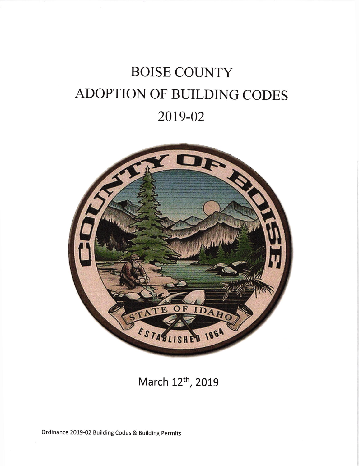## **BOISE COUNTY** ADOPTION OF BUILDING CODES 2019-02



March 12<sup>th</sup>, 2019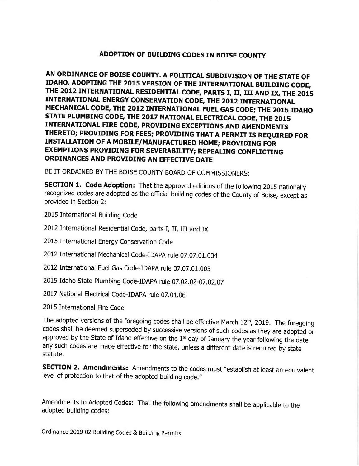## ADOPTION OF BUILDING CODES IN BOISE COUNTY

AN ORDINANCE OF BOISE COUNTY. A POLITICAL SUBDIVISION OF THE STATE OF IDAHO, ADOPTING THE 2O15 VERSION OF THE INTERNATIONAL BUILDING CODE, THE 2012 INTERNATIONAL RESIDENTIAL CODE, PARTS I, II, III AND IX, THE 2015 INTERNATIONAL ENERGY CONSERVATION CODE, THE 2012 INTERNATIONAL MECHANICAL CODE, THE 2012 INTERNATIONAL FUEL GAS CODE; THE 2015 IDAHO STATE PLUMBING CODE, THE 2017 NATIONAL ELECTRICAL CODE, THE 2015 INTERNATIONAL FIRE CODE, PROVIDING EXCEPIIONS AND AMENDMENTS THERETO; PROVIDING FOR FEES; PROVIDING THAT A PERMIT Is REQUIRED FoR INSTALLATION OF A MOBILE/MANUFACTURED HOME; PROVIDING FOR EXEMPTIONS PROVIDING FOR SEVERABILITY; REPEALING CONFLICTING ORDINANCES AND PROVIDING AN EFFECTIVE DATE

BE IT ORDAINED BY THE BOISE COUNTY BOARD OF COMMISSIONERS:

**SECTION 1. Code Adoption:** That the approved editions of the following 2015 nationally recognized codes are adopted as the official building codes of the County of Boise, except as provided in Section 2:

- 2015 International Building Code
- 2012 International Residential Code, parts I, II, III and IX
- 2015 International Energy Conservation Code
- 2012 International Mechanical Code-IDApA rule 07.07.01.004
- 20l2International Fuel Gas Code-IDApA rule 07.O7.O1.OO5
- 2015 idaho State Plumbing Code-IDApA rute 07.02.02-07.02.07
- 2017 National Electrical Code-IDAPA rule 07.01.06
- 2015 International Fire Code

The adopted versions of the foregoing codes shall be effective March 12<sup>th</sup>, 2019. The foregoing codes shall be deemed superseded by successive versions of such codes as they are adopted or approved by the State of Idaho effective on the  $1<sup>st</sup>$  day of January the year following the date any such codes are made effective for the state, unless a different date is required by state statute.

SECTION 2. Amendments: Amendments to the codes must "establish at least an equivalent level of protection to that of the adopted building code."

Amendments to Adopted Codes: That the following amendments shall be applicable to the adopted building codes;